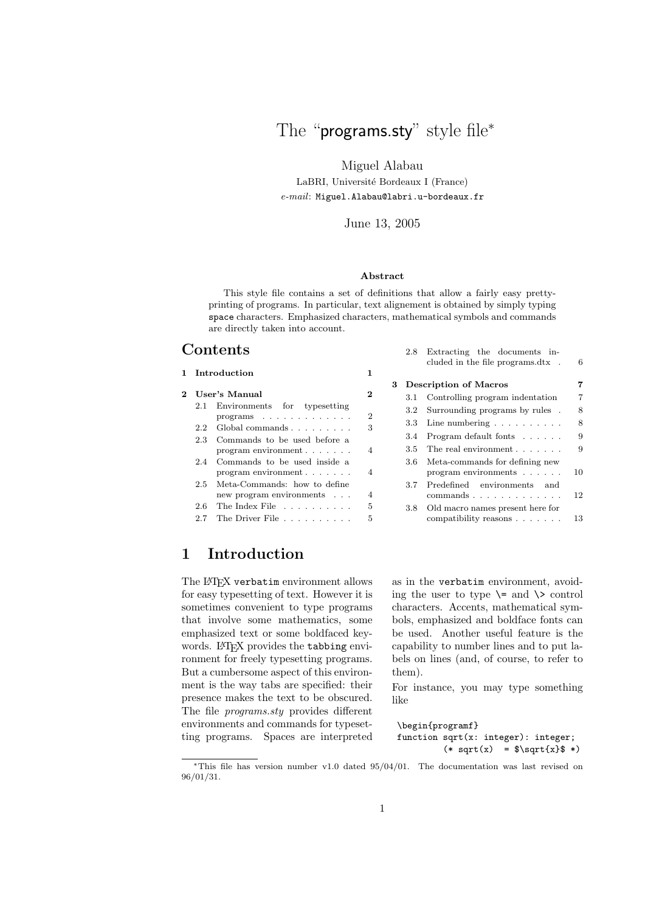The "programs.sty" style file\*

Miguel Alabau

LaBRI, Université Bordeaux I (France) *e-mail*: Miguel.Alabau@labri.u-bordeaux.fr

### June 13, 2005

#### **Abstract**

This style file contains a set of definitions that allow a fairly easy prettyprinting of programs. In particular, text alignement is obtained by simply typing space characters. Emphasized characters, mathematical symbols and commands are directly taken into account.

## **Contents**

|              |                                                                       |    |   |     | cluded in the file programs.dtx .                          | -6   |
|--------------|-----------------------------------------------------------------------|----|---|-----|------------------------------------------------------------|------|
| Introduction |                                                                       | 1. | 3 |     | <b>Description of Macros</b>                               | 7    |
| 2            | User's Manual                                                         |    |   |     | 3.1 Controlling program indentation                        | 7    |
|              | Environments<br>$2.1\,$<br>for<br>typesetting                         | 2  |   |     | 3.2 Surrounding programs by rules.                         | 8    |
|              | Global commands<br>2.2                                                | 3  |   |     | 3.3 Line numbering $\ldots \ldots \ldots$                  | 8    |
|              | Commands to be used before a<br>2.3                                   |    |   |     | 3.4 Program default fonts                                  | 9    |
|              | program environment $\ldots$                                          | 4  |   |     | 3.5 The real environment $\ldots$ ,                        | 9    |
|              | Commands to be used inside a<br>2.4<br>$program$ environment $\ldots$ | 4  |   |     | 3.6 Meta-commands for defining new<br>program environments | -10  |
|              | Meta-Commands: how to define<br>2.5<br>new program environments       | 4  |   | 3.7 | Predefined environments<br>and<br>commands $\ldots$        | 12   |
|              | The Index File<br>2.6                                                 | 5  |   | 3.8 | Old macro names present here for                           |      |
|              | The Driver File $\ldots$ , $\ldots$<br>2.7                            | 5  |   |     | compatibility reasons                                      | - 13 |

# **1 Introduction**

The LAT<sub>E</sub>X verbatim environment allows for easy typesetting of text. However it is sometimes convenient to type programs that involve some mathematics, some emphasized text or some boldfaced keywords. LAT<sub>EX</sub> provides the tabbing environment for freely typesetting programs. But a cumbersome aspect of this environment is the way tabs are specified: their presence makes the text to be obscured. The file *programs.sty* provides different environments and commands for typesetting programs. Spaces are interpreted as in the verbatim environment, avoiding the user to type  $\setminus$  and  $\setminus$  control characters. Accents, mathematical symbols, emphasized and boldface fonts can be used. Another useful feature is the capability to number lines and to put labels on lines (and, of course, to refer to them).

2.8 Extracting the documents in-

For instance, you may type something like

```
\begin{programf}
function sqrt(x: integer): integer;
         (* \sqrt{x}) = $\sqrt{x} *)
```
<sup>∗</sup>This file has version number v1.0 dated 95/04/01. The documentation was last revised on 96/01/31.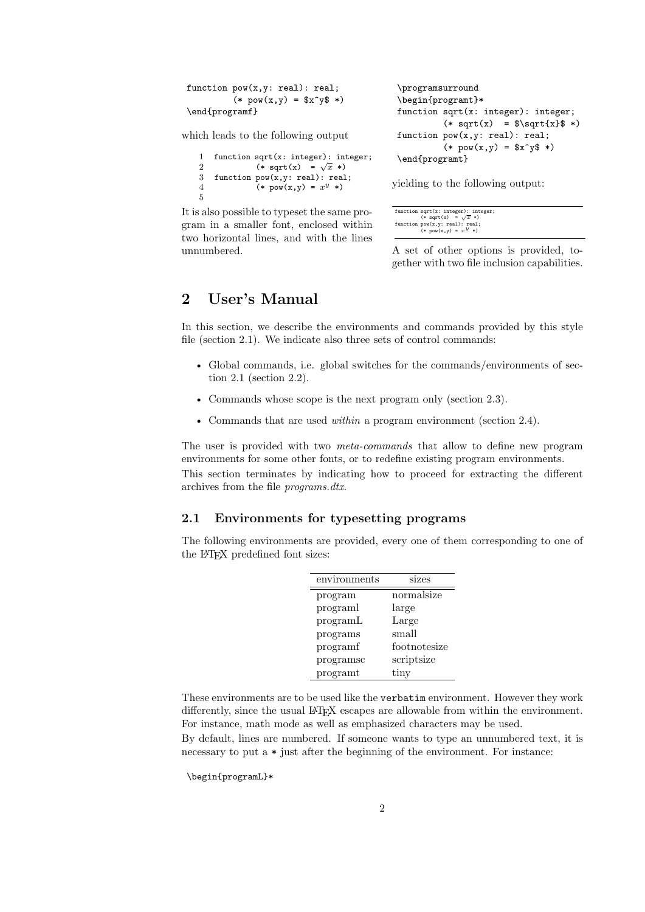```
function pow(x, y: real): real;(*\ pow(x,y) = $x^y * )\end{programf}
```
\programsurround \begin{programt}\* function sqrt(x: integer): integer;  $(*$  sqrt(x) =  $\sqrt{s}$  +) function pow(x,y: real): real;  $(* \text{pow}(x, y) = $x^y * )$ \end{programt}

which leads to the following output

```
1 function sqrt(x: integer): integer;
2 (* sqrt(x) = \sqrt{x} *)
3 function pow(x,y: real): real;
4 (* pow(x, y) = x^y * )5
```
It is also possible to typeset the same program in a smaller font, enclosed within two horizontal lines, and with the lines unnumbered.

yielding to the following output:

```
function sqrt(x: integer): integer;<br>
(* sqrt(x) = \sqrt{x} *)<br>
function pow(x,y: real): real;<br>
(* pow(x,y) = x^{y} *)
```
A set of other options is provided, together with two file inclusion capabilities.

# **2 User's Manual**

In this section, we describe the environments and commands provided by this style file (section 2.1). We indicate also three sets of control commands:

- Global commands, i.e. global switches for the commands/environments of section 2.1 (section 2.2).
- Commands whose scope is the next program only (section 2.3).
- Commands that are used *within* a program environment (section 2.4).

The user is provided with two *meta-commands* that allow to define new program environments for some other fonts, or to redefine existing program environments. This section terminates by indicating how to proceed for extracting the different archives from the file *programs.dtx*.

## **2.1 Environments for typesetting programs**

The following environments are provided, every one of them corresponding to one of the LATEX predefined font sizes:

| environments | sizes         |
|--------------|---------------|
| program      | normalsize    |
| programl     | large         |
| programL     | Large         |
| programs     | small         |
| programf     | footnotesize  |
| programsc    | scriptsize    |
| programt     | $_{\rm tiny}$ |

These environments are to be used like the verbatim environment. However they work differently, since the usual LAT<sub>EX</sub> escapes are allowable from within the environment. For instance, math mode as well as emphasized characters may be used.

By default, lines are numbered. If someone wants to type an unnumbered text, it is necessary to put a  $*$  just after the beginning of the environment. For instance:

\begin{programL}\*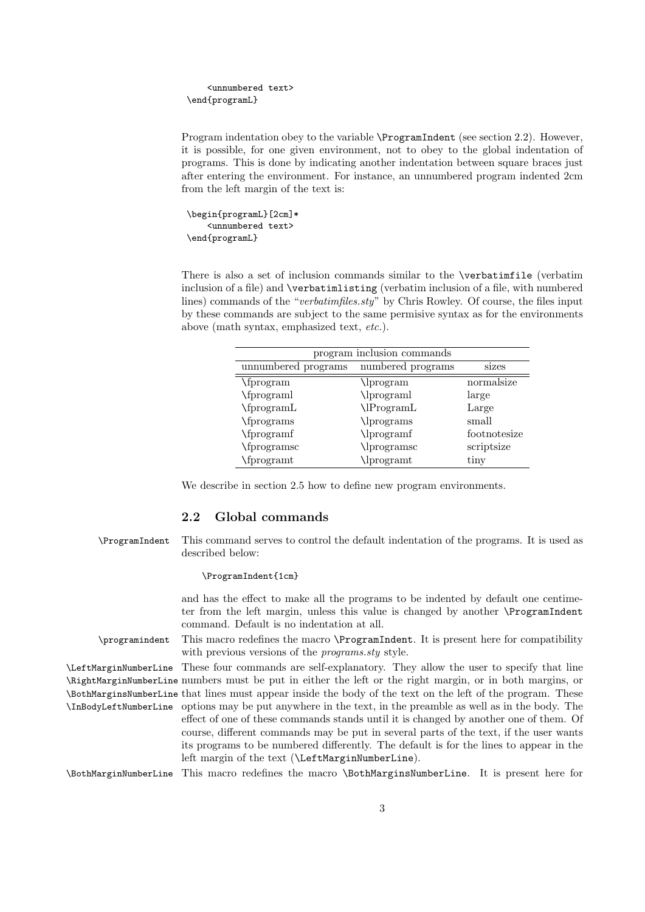```
<unnumbered text>
\end{programL}
```
Program indentation obey to the variable \ProgramIndent (see section 2.2). However, it is possible, for one given environment, not to obey to the global indentation of programs. This is done by indicating another indentation between square braces just after entering the environment. For instance, an unnumbered program indented 2cm from the left margin of the text is:

```
\begin{programL}[2cm]*
    <unnumbered text>
\end{programL}
```
There is also a set of inclusion commands similar to the \verbatimfile (verbatim inclusion of a file) and \verbatimlisting (verbatim inclusion of a file, with numbered lines) commands of the "*verbatimfiles.sty*" by Chris Rowley. Of course, the files input by these commands are subject to the same permisive syntax as for the environments above (math syntax, emphasized text, *etc.*).

| program inclusion commands |                   |              |
|----------------------------|-------------------|--------------|
| unnumbered programs        | numbered programs | sizes        |
| \fprogram                  | \lprogram         | normalsize   |
| \fprograml                 | \lprograml        | large        |
| \fprogramL                 | \lProgramL        | Large        |
| \fprograms                 | \lprograms        | small        |
| \fprogramf                 | \lprogramf        | footnotesize |
| \fprogramsc                | \lprogramsc       | scriptsize   |
| \fprogramt                 | \lprogramt        | tiny         |

We describe in section 2.5 how to define new program environments.

### **2.2 Global commands**

\ProgramIndent This command serves to control the default indentation of the programs. It is used as described below:

#### \ProgramIndent{1cm}

and has the effect to make all the programs to be indented by default one centimeter from the left margin, unless this value is changed by another \ProgramIndent command. Default is no indentation at all.

\programindent This macro redefines the macro \ProgramIndent. It is present here for compatibility with previous versions of the *programs.sty* style.

\LeftMarginNumberLine These four commands are self-explanatory. They allow the user to specify that line \RightMarginNumberLine numbers must be put in either the left or the right margin, or in both margins, or \BothMarginsNumberLine that lines must appear inside the body of the text on the left of the program. These \InBodyLeftNumberLine options may be put anywhere in the text, in the preamble as well as in the body. The effect of one of these commands stands until it is changed by another one of them. Of course, different commands may be put in several parts of the text, if the user wants its programs to be numbered differently. The default is for the lines to appear in the left margin of the text (\LeftMarginNumberLine).

\BothMarginNumberLine This macro redefines the macro \BothMarginsNumberLine. It is present here for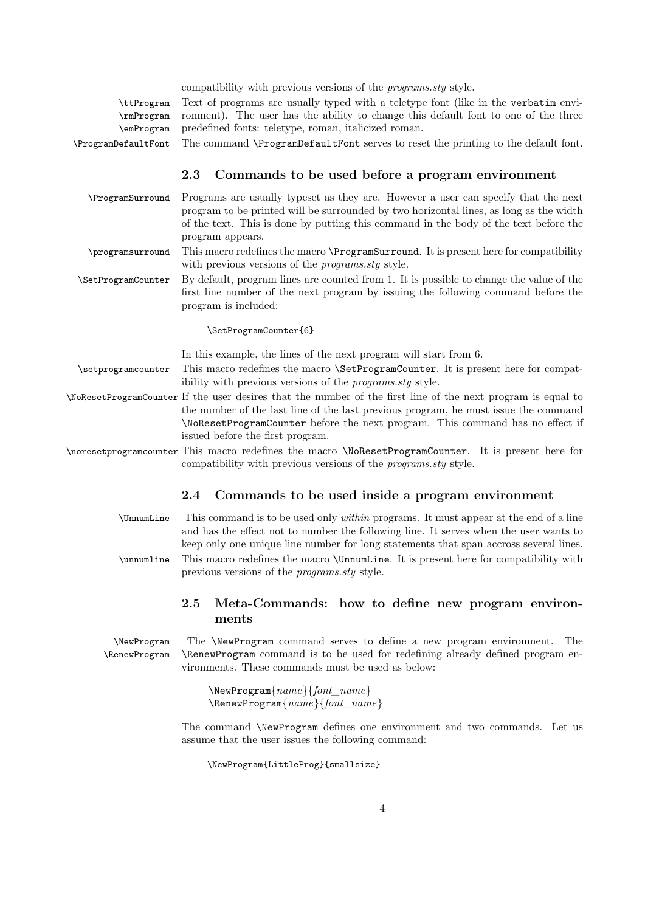| compatibility with previous versions of the <i>programs.sty</i> style.                                |
|-------------------------------------------------------------------------------------------------------|
| \ttProgram Text of programs are usually typed with a teletype font (like in the verbatim envi-        |
| \rmProgram conment). The user has the ability to change this default font to one of the three         |
| \emProgram predefined fonts: teletype, roman, italicized roman.                                       |
| \ProgramDefaultFont The command \ProgramDefaultFont serves to reset the printing to the default font. |
|                                                                                                       |

## **2.3 Commands to be used before a program environment**

- \ProgramSurround Programs are usually typeset as they are. However a user can specify that the next program to be printed will be surrounded by two horizontal lines, as long as the width of the text. This is done by putting this command in the body of the text before the program appears.
- \programsurround This macro redefines the macro \ProgramSurround. It is present here for compatibility with previous versions of the *programs.sty* style.
- \SetProgramCounter By default, program lines are counted from 1. It is possible to change the value of the first line number of the next program by issuing the following command before the program is included:

#### \SetProgramCounter{6}

In this example, the lines of the next program will start from 6.

- \setprogramcounter This macro redefines the macro \SetProgramCounter. It is present here for compatibility with previous versions of the *programs.sty* style.
- \NoResetProgramCounter If the user desires that the number of the first line of the next program is equal to the number of the last line of the last previous program, he must issue the command \NoResetProgramCounter before the next program. This command has no effect if issued before the first program.
- \noresetprogramcounter This macro redefines the macro \NoResetProgramCounter. It is present here for compatibility with previous versions of the *programs.sty* style.

## **2.4 Commands to be used inside a program environment**

- \UnnumLine This command is to be used only *within* programs. It must appear at the end of a line and has the effect not to number the following line. It serves when the user wants to keep only one unique line number for long statements that span accross several lines. \unnumline This macro redefines the macro \UnnumLine. It is present here for compatibility with
- previous versions of the *programs.sty* style.

## **2.5 Meta-Commands: how to define new program environments**

\NewProgram The \NewProgram command serves to define a new program environment. The \RenewProgram \RenewProgram command is to be used for redefining already defined program environments. These commands must be used as below:

> \NewProgram{*name*}{*font\_name*} \RenewProgram{*name*}{*font\_name*}

The command \NewProgram defines one environment and two commands. Let us assume that the user issues the following command:

\NewProgram{LittleProg}{smallsize}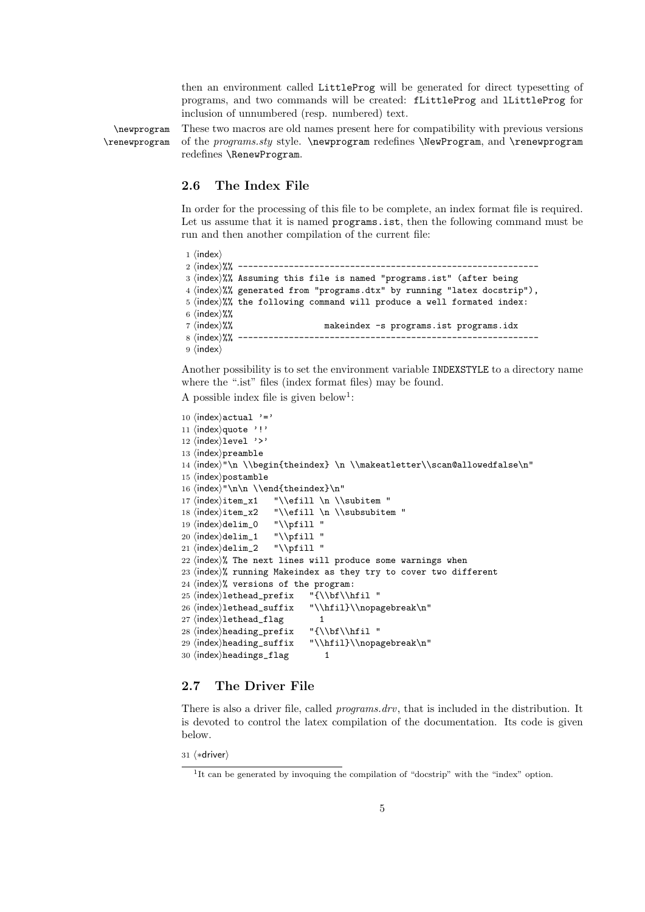then an environment called LittleProg will be generated for direct typesetting of programs, and two commands will be created: fLittleProg and lLittleProg for inclusion of unnumbered (resp. numbered) text.

\newprogram These two macros are old names present here for compatibility with previous versions \renewprogram of the *programs.sty* style. \newprogram redefines \NewProgram, and \renewprogram redefines \RenewProgram.

#### **2.6 The Index File**

In order for the processing of this file to be complete, an index format file is required. Let us assume that it is named **programs**, ist, then the following command must be run and then another compilation of the current file:

```
1 \langleindex\rangle2 hindexi%% -----------------------------------------------------------
3 (index)%% Assuming this file is named "programs.ist" (after being
4 (index)%% generated from "programs.dtx" by running "latex docstrip"),
5 \cdot 5 (index)%% the following command will produce a well formated index:
6 \; \langle \text{index} \rangle%%
7 (index)%% makeindex -s programs.ist programs.idx
8 hindexi%% -----------------------------------------------------------
9 \langleindex\rangle
```
Another possibility is to set the environment variable INDEXSTYLE to a directory name where the ".ist" files (index format files) may be found.

A possible index file is given below<sup>1</sup>:

```
10 \langleindex\rangleactual '='
11 (index) quote '!'
12 \langleindex\ranglelevel '>'
13 (index)preamble
14 \index"\n \\begin{theindex} \n \\makeatletter\\scan@allowedfalse\n"
15 \langleindex\ranglepostamble
16 \infty"\n\n \\end{theindex}\n"
17 \langle index \rangleitem_x1 "\\efill \n \\subitem "
18 \langle \texttt{index} \times 2 \quad \texttt{list} \in \mathbb{N} \subset \mathbb{N} \text{if } 11 \text{ if } 12 \leq \texttt{index} \cdot \texttt{list} \in \mathbb{N} \text{if } 12 \leq \texttt{index} \cdot \texttt{list} \text{if } 13 \leq \texttt{index} \cdot \texttt{list} \text{if } 13 \leq \texttt{index} \cdot \texttt{list} \text{if } 14 \leq \texttt{index} \cdot \texttt{index} \cdot \texttt{list} \text{if } 14 \leq \texttt{index} \cdot \texttt{index} \cdot \texttt{index}19 \langle index \rangle \text{delim}_0 \quad \text{``\\\pfill''} \\ 20 \langle index \rangle \text{delim}_1 \quad \text{``\\\pfill''}20 \langle index \rangle \delta_1 \quad \text{``\phi''} \quad \text{`all''} \quad \text{`all''} \quad \text{`all''} \quad \text{`all''} \quad \text{`all''} \quad \text{`all''} \quad \text{`all''} \quad \text{`all''} \quad \text{`all''} \quad \text{`all''} \quad \text{`all''} \quad \text{`all''} \quad \text{`all''} \quad \text{`all''} \quad \text{`all''} \quad \text{`all''} \quad \text{`all''} \quad \text{`all''} \quad \text{`all''} \quad \text{`all''} \quad \text{`all''} \quad \text{`all''} \21 \langle \text{index} \rangledelim_2
22 \n{index}{\%} The next lines will produce some warnings when
23 \nvertindex)% running Makeindex as they try to cover two different
24 \langle \text{index} \rangle% versions of the program:
25 \index\lethead_prefix "{\\bf\\hfil "
26 \index\lethead_suffix "\\hfil}\\nopagebreak\n"
27 \langleindex\ranglelethead_flag 1
28 \index{\hbox{\sf{height}} \tt "_{\bf{\hfil} "}29 hindexiheading_suffix "\\hfil}\\nopagebreak\n"
30 \langleindex\rangleheadings_flag 1
```
### **2.7 The Driver File**

There is also a driver file, called *programs.drv*, that is included in the distribution. It is devoted to control the latex compilation of the documentation. Its code is given below.

31 (\*driver)

<sup>&</sup>lt;sup>1</sup>It can be generated by invoquing the compilation of "docstrip" with the "index" option.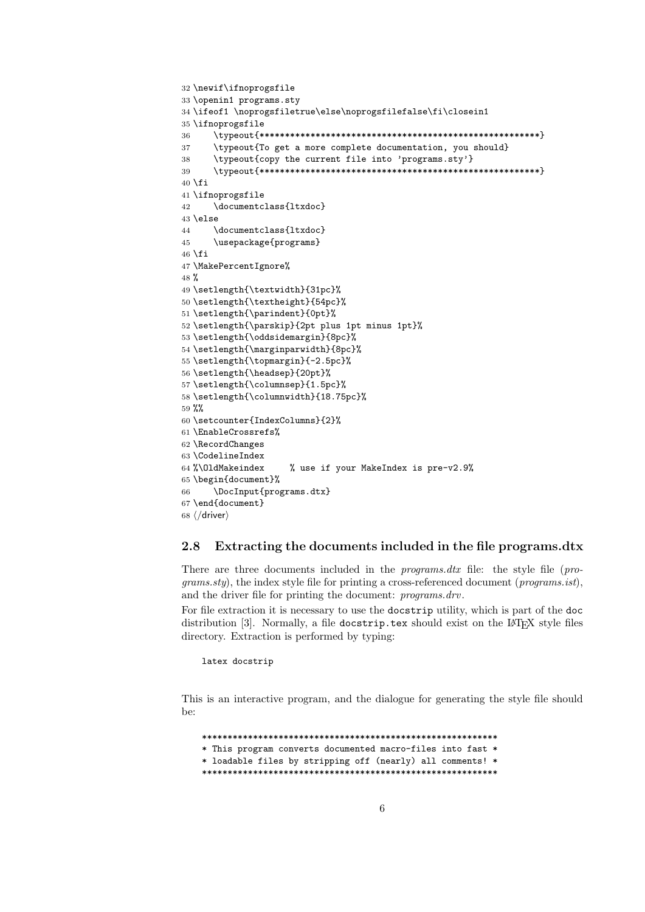```
32 \newif\ifnoprogsfile
33 \openin1 programs.sty
34 \ifeof1 \noprogsfiletrue\else\noprogsfilefalse\fi\closein1
35 \ifnoprogsfile
36 \typeout{*******************************************************}
37 \typeout{To get a more complete documentation, you should}
38 \typeout{copy the current file into 'programs.sty'}
39 \typeout{*******************************************************}
40 \setminus fi41 \ifnoprogsfile
42 \documentclass{ltxdoc}
43 \else
44 \documentclass{ltxdoc}
45 \usepackage{programs}
46 \fi
47 \MakePercentIgnore%
48 %
49 \setlength{\textwidth}{31pc}%
50 \setlength{\textheight}{54pc}%
51 \setlength{\parindent}{0pt}%
52 \setlength{\parskip}{2pt plus 1pt minus 1pt}%
53 \setlength{\oddsidemargin}{8pc}%
54 \setlength{\marginparwidth}{8pc}%
55 \setlength{\topmargin}{-2.5pc}%
56 \setlength{\headsep}{20pt}%
57 \setlength{\columnsep}{1.5pc}%
58 \setlength{\columnwidth}{18.75pc}%
59 %%
60 \setcounter{IndexColumns}{2}%
61 \EnableCrossrefs%
62 \RecordChanges
63 \CodelineIndex
64 %\OldMakeindex % use if your MakeIndex is pre-v2.9%
65 \begin{document}%
66 \DocInput{programs.dtx}
67 \end{document}
68 \langle /driver\rangle
```
#### **2.8 Extracting the documents included in the file programs.dtx**

There are three documents included in the *programs.dtx* file: the style file (*programs.sty*), the index style file for printing a cross-referenced document (*programs.ist*), and the driver file for printing the document: *programs.drv*.

For file extraction it is necessary to use the docstrip utility, which is part of the doc distribution [3]. Normally, a file docstrip.tex should exist on the LAT<sub>E</sub>X style files directory. Extraction is performed by typing:

latex docstrip

This is an interactive program, and the dialogue for generating the style file should be:

\*\*\*\*\*\*\*\*\*\*\*\*\*\*\*\*\*\*\*\*\*\*\*\*\*\*\*\*\*\*\*\*\*\*\*\*\*\*\*\*\*\*\*\*\*\*\*\*\*\*\*\*\*\*\*\*\*\* \* This program converts documented macro-files into fast \* \* loadable files by stripping off (nearly) all comments! \* \*\*\*\*\*\*\*\*\*\*\*\*\*\*\*\*\*\*\*\*\*\*\*\*\*\*\*\*\*\*\*\*\*\*\*\*\*\*\*\*\*\*\*\*\*\*\*\*\*\*\*\*\*\*\*\*\*\*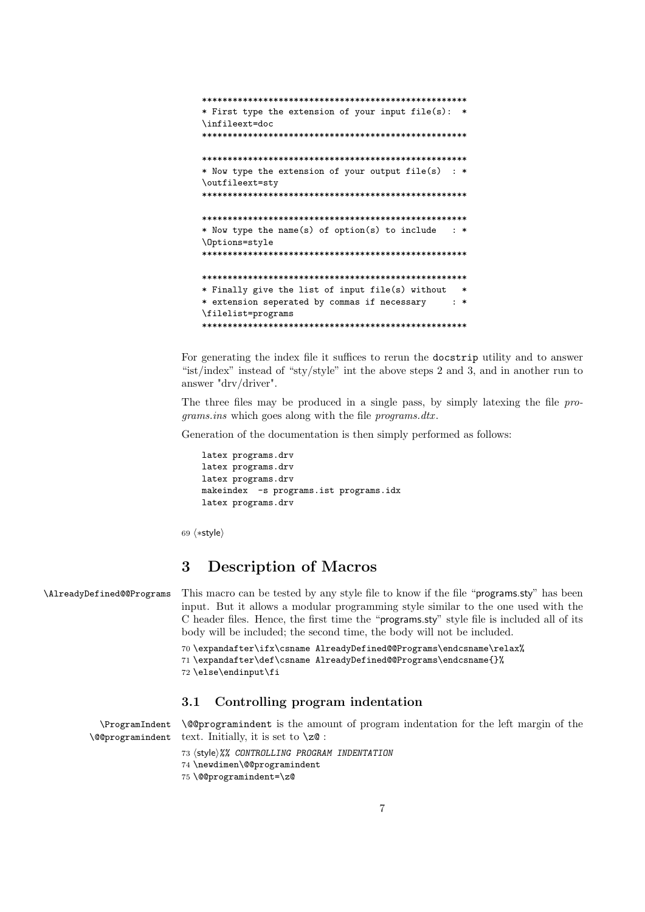```
****************************************************
* First type the extension of your input file(s): *
\infileext=doc
****************************************************
****************************************************
* Now type the extension of your output file(s) : *
\outfileext=sty
****************************************************
****************************************************
* Now type the name(s) of option(s) to include : *
\Options=style
****************************************************
****************************************************
* Finally give the list of input file(s) without *
* extension seperated by commas if necessary : *
\filelist=programs
****************************************************
```
For generating the index file it suffices to rerun the docstrip utility and to answer "ist/index" instead of "sty/style" int the above steps 2 and 3, and in another run to answer "drv/driver".

The three files may be produced in a single pass, by simply latexing the file *programs.ins* which goes along with the file *programs.dtx* .

Generation of the documentation is then simply performed as follows:

```
latex programs.drv
latex programs.drv
latex programs.drv
makeindex -s programs.ist programs.idx
latex programs.drv
```
69  $\langle \ast$ style $\rangle$ 

# **3 Description of Macros**

\AlreadyDefined@@Programs This macro can be tested by any style file to know if the file "programs.sty" has been input. But it allows a modular programming style similar to the one used with the C header files. Hence, the first time the "programs.sty" style file is included all of its body will be included; the second time, the body will not be included.

```
70 \expandafter\ifx\csname AlreadyDefined@@Programs\endcsname\relax%
71 \expandafter\def\csname AlreadyDefined@@Programs\endcsname{}%
72 \else\endinput\fi
```
### **3.1 Controlling program indentation**

\ProgramIndent \@@programindent

\@@programindent is the amount of program indentation for the left margin of the text. Initially, it is set to  $\zeta \geq 0$ :

73 hstylei*%% CONTROLLING PROGRAM INDENTATION* 74 \newdimen\@@programindent 75 \@@programindent=\z@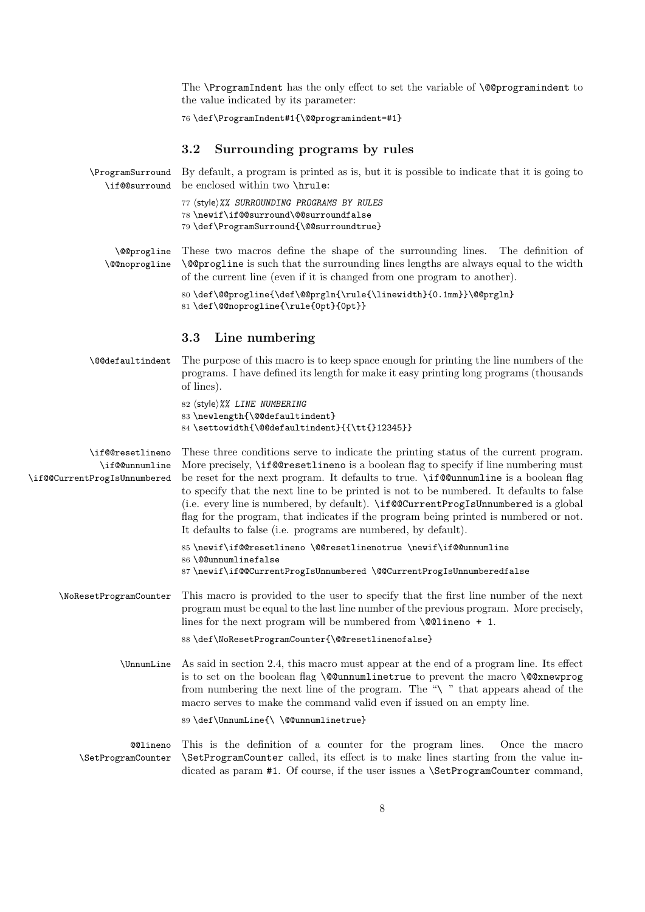The **\ProgramIndent** has the only effect to set the variable of **\@@programindent** to the value indicated by its parameter:

```
76 \def\ProgramIndent#1{\@@programindent=#1}
```
# **3.2 Surrounding programs by rules**

| \if@@surround                                                     | \ProgramSurround By default, a program is printed as is, but it is possible to indicate that it is going to<br>be enclosed within two \hrule:                                                                                                                                                                                                                                                                                                                                                                                                                                                                    |
|-------------------------------------------------------------------|------------------------------------------------------------------------------------------------------------------------------------------------------------------------------------------------------------------------------------------------------------------------------------------------------------------------------------------------------------------------------------------------------------------------------------------------------------------------------------------------------------------------------------------------------------------------------------------------------------------|
|                                                                   | 77 (style)%% SURROUNDING PROGRAMS BY RULES<br>78 \newif\if@@surround\@@surroundfalse<br>79 \def\ProgramSurround{\@@surroundtrue}                                                                                                                                                                                                                                                                                                                                                                                                                                                                                 |
| \@@progline<br>\@@noprogline                                      | These two macros define the shape of the surrounding lines. The definition of<br><b>\@@progline</b> is such that the surrounding lines lengths are always equal to the width<br>of the current line (even if it is changed from one program to another).                                                                                                                                                                                                                                                                                                                                                         |
|                                                                   | 80\def\@@progline{\def\@@prgln{\rule{\linewidth}{0.1mm}}\@@prgln}<br>81\def\@@noprogline{\rule{0pt}{0pt}}                                                                                                                                                                                                                                                                                                                                                                                                                                                                                                        |
|                                                                   | Line numbering<br>3.3                                                                                                                                                                                                                                                                                                                                                                                                                                                                                                                                                                                            |
| \@@defaultindent                                                  | The purpose of this macro is to keep space enough for printing the line numbers of the<br>programs. I have defined its length for make it easy printing long programs (thousands<br>of lines).                                                                                                                                                                                                                                                                                                                                                                                                                   |
|                                                                   | 82 (style)%% LINE NUMBERING<br>83 \newlength{\@@defaultindent}<br>84 \settowidth{\@@defaultindent}{{\tt{}12345}}                                                                                                                                                                                                                                                                                                                                                                                                                                                                                                 |
| \if@@resetlineno<br>\if@@unnumline<br>\if@CurrentProgIsUnnumbered | These three conditions serve to indicate the printing status of the current program.<br>More precisely, \if@Gresetlineno is a boolean flag to specify if line numbering must<br>be reset for the next program. It defaults to true. \if@unnumline is a boolean flag<br>to specify that the next line to be printed is not to be numbered. It defaults to false<br>(i.e. every line is numbered, by default). \if@@CurrentProgIsUnnumbered is a global<br>flag for the program, that indicates if the program being printed is numbered or not.<br>It defaults to false (i.e. programs are numbered, by default). |
|                                                                   | 85\newif\if@Cresetlineno\@Cresetlinenotrue\newif\if@Qunnumline<br>86 \@@unnumlinefalse<br>87\newif\if@@CurrentProgIsUnnumbered \@@CurrentProgIsUnnumberedfalse                                                                                                                                                                                                                                                                                                                                                                                                                                                   |
| \NoResetProgramCounter                                            | This macro is provided to the user to specify that the first line number of the next<br>program must be equal to the last line number of the previous program. More precisely,<br>lines for the next program will be numbered from $\text{Q@lineno} + 1$ .                                                                                                                                                                                                                                                                                                                                                       |
|                                                                   | 88 \def\NoResetProgramCounter{\@@resetlinenofalse}                                                                                                                                                                                                                                                                                                                                                                                                                                                                                                                                                               |
| \UnnumLine                                                        | As said in section 2.4, this macro must appear at the end of a program line. Its effect<br>is to set on the boolean flag \@@unnumlinetrue to prevent the macro \@@xnewprog<br>from numbering the next line of the program. The "\" that appears ahead of the<br>macro serves to make the command valid even if issued on an empty line.                                                                                                                                                                                                                                                                          |
|                                                                   | 89 \def\UnnumLine{\ \@@unnumlinetrue}                                                                                                                                                                                                                                                                                                                                                                                                                                                                                                                                                                            |
| <b>@@lineno</b><br>\SetProgramCounter                             | This is the definition of a counter for the program lines.<br>Once the macro<br>\SetProgramCounter called, its effect is to make lines starting from the value in-<br>dicated as param #1. Of course, if the user issues a <b>\SetProgramCounter</b> command,                                                                                                                                                                                                                                                                                                                                                    |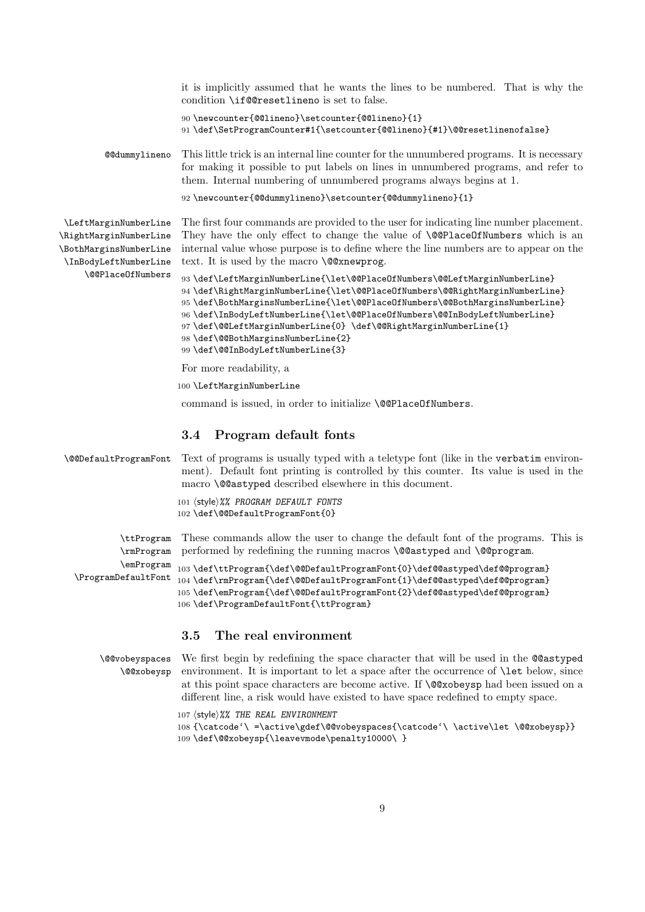it is implicitly assumed that he wants the lines to be numbered. That is why the condition \if@@resetlineno is set to false.

```
90 \newcounter{@@lineno}\setcounter{@@lineno}{1}
91 \def\SetProgramCounter#1{\setcounter{@@lineno}{#1}\@@resetlinenofalse}
```
@@dummylineno This little trick is an internal line counter for the unnumbered programs. It is necessary for making it possible to put labels on lines in unnumbered programs, and refer to them. Internal numbering of unnumbered programs always begins at 1.

```
92 \newcounter{@@dummylineno}\setcounter{@@dummylineno}{1}
```
\LeftMarginNumberLine \RightMarginNumberLine \BothMarginsNumberLine \InBodyLeftNumberLine \@@PlaceOfNumbers The first four commands are provided to the user for indicating line number placement. They have the only effect to change the value of **\@@PlaceOfNumbers** which is an internal value whose purpose is to define where the line numbers are to appear on the text. It is used by the macro  $\texttt{QQXnewprog}.$ 

```
93 \def\LeftMarginNumberLine{\let\@@PlaceOfNumbers\@@LeftMarginNumberLine}
94 \def\RightMarginNumberLine{\let\@@PlaceOfNumbers\@@RightMarginNumberLine}
95 \def\BothMarginsNumberLine{\let\@@PlaceOfNumbers\@@BothMarginsNumberLine}
96 \def\InBodyLeftNumberLine{\let\@@PlaceOfNumbers\@@InBodyLeftNumberLine}
97 \def\@@LeftMarginNumberLine{0} \def\@@RightMarginNumberLine{1}
98 \def\@@BothMarginsNumberLine{2}
99 \def\@@InBodyLeftNumberLine{3}
```
For more readability, a

100 \LeftMarginNumberLine

command is issued, in order to initialize \@@PlaceOfNumbers.

### **3.4 Program default fonts**

```
\@@DefaultProgramFont Text of programs is usually typed with a teletype font (like in the verbatim environ-
                       ment). Default font printing is controlled by this counter. Its value is used in the
                       macro \@@astyped described elsewhere in this document.
                       101 (style)%% PROGRAM DEFAULT FONTS
                       102 \def\@@DefaultProgramFont{0}
           \ttProgram
           \rmProgram
performed by redefining the running macros \@@astyped and \@@program.
           \emProgram
                       These commands allow the user to change the default font of the programs. This is
                      103 \def\ttProgram{\def\@@DefaultProgramFont{0}\def@@astyped\def@@program}
```
\ProgramDefaultFont 104\def\rmProgram{\def\@@DefaultProgramFont{1}\def@@astyped\def@@program} 105 \def\emProgram{\def\@@DefaultProgramFont{2}\def@@astyped\def@@program} 106 \def\ProgramDefaultFont{\ttProgram}

### **3.5 The real environment**

\@@vobeyspaces \@@xobeysp

We first begin by redefining the space character that will be used in the @@astyped environment. It is important to let a space after the occurrence of \let below, since at this point space characters are become active. If \@@xobeysp had been issued on a different line, a risk would have existed to have space redefined to empty space.

107 (style)%% THE REAL ENVIRONMENT 108 {\catcode'\ =\active\gdef\@@vobeyspaces{\catcode'\ \active\let \@@xobeysp}} 109 \def\@@xobeysp{\leavevmode\penalty10000\ }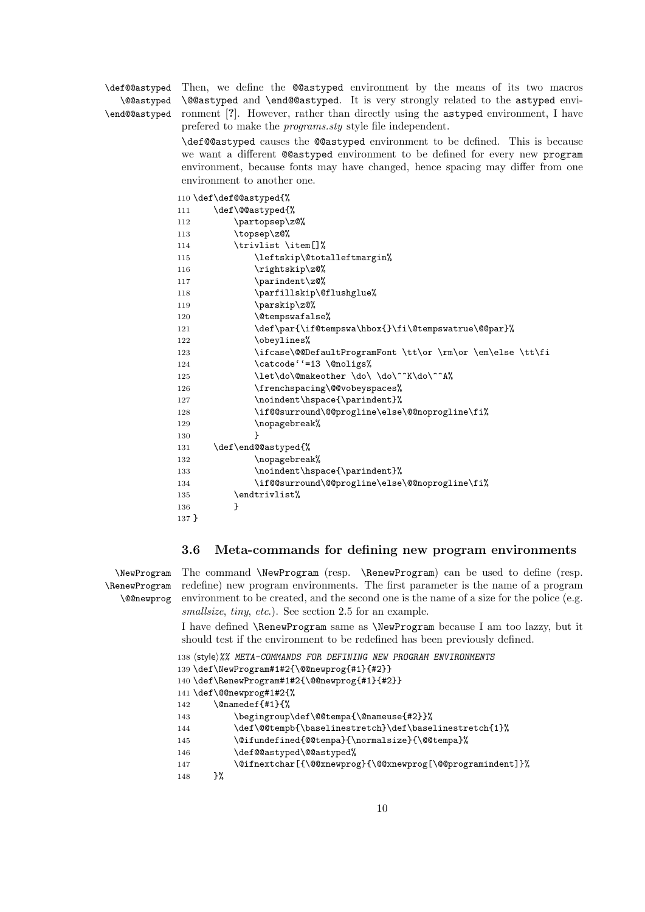\@@astyped

\def@@astyped Then, we define the @@astyped environment by the means of its two macros \end@@astyped ronment [**?**]. However, rather than directly using the astyped environment, I have \@@astyped and \end@@astyped. It is very strongly related to the astyped enviprefered to make the *programs.sty* style file independent.

> \def@@astyped causes the @@astyped environment to be defined. This is because we want a different @@astyped environment to be defined for every new program environment, because fonts may have changed, hence spacing may differ from one environment to another one.

|         | 110 \def \def@@astyped{%                                   |
|---------|------------------------------------------------------------|
| 111     | \def\@@astyped{%                                           |
| 112     | \partopsep\z@%                                             |
| 113     | \topsep\z@%                                                |
| 114     | \trivlist \item[]%                                         |
| 115     | \leftskip\@totalleftmargin%                                |
| 116     | \rightskip\z0%                                             |
| 117     | \parindent\z@%                                             |
| 118     | \parfillskip\@flushglue%                                   |
| 119     | \parskip\z@%                                               |
| 120     | \@tempswafalse%                                            |
| 121     | \def\par{\if@tempswa\hbox{}\fi\@tempswatrue\@@par}%        |
| 122     | \obeylines%                                                |
| 123     | \ifcase\@@DefaultProgramFont \tt\or \rm\or \em\else \tt\fi |
| 124     | \catcode''=13 \@noligs%                                    |
| 125     | \let\do\@makeother \do\ \do\^^K\do\^^A%                    |
| 126     | \frenchspacing\@@vobeyspaces%                              |
| 127     | \noindent\hspace{\parindent}%                              |
| 128     | \if@@surround\@@progline\else\@@noprogline\fi%             |
| 129     | \nopagebreak%                                              |
| 130     | ł                                                          |
| 131     | \def\end@@astyped{%                                        |
| 132     | \nopagebreak%                                              |
| 133     | \noindent\hspace{\parindent}%                              |
| 134     | \if@@surround\@@progline\else\@@noprogline\fi%             |
| 135     | \endtrivlist%                                              |
| 136     | ł                                                          |
| $137$ } |                                                            |
|         |                                                            |

### **3.6 Meta-commands for defining new program environments**

\NewProgram \RenewProgram \@@newprog The command \NewProgram (resp. \RenewProgram) can be used to define (resp. redefine) new program environments. The first parameter is the name of a program environment to be created, and the second one is the name of a size for the police (e.g. *smallsize*, *tiny*, *etc*.). See section 2.5 for an example.

I have defined \RenewProgram same as \NewProgram because I am too lazzy, but it should test if the environment to be redefined has been previously defined.

```
138 (style)%% META-COMMANDS FOR DEFINING NEW PROGRAM ENVIRONMENTS
```

```
139 \def\NewProgram#1#2{\@@newprog{#1}{#2}}
```

```
140 \def\RenewProgram#1#2{\@@newprog{#1}{#2}}
```

```
141 \def\@@newprog#1#2{%
```

```
142 \@namedef{#1}{%
```

```
143 \begingroup\def\@@tempa{\@nameuse{#2}}%
```
144 \def\@@tempb{\baselinestretch}\def\baselinestretch{1}%

- 145 \@ifundefined{@@tempa}{\normalsize}{\@@tempa}%
- 146 \def@@astyped\@@astyped%
- 147 \@ifnextchar[{\@@xnewprog}{\@@xnewprog[\@@programindent]}%
- 148 }%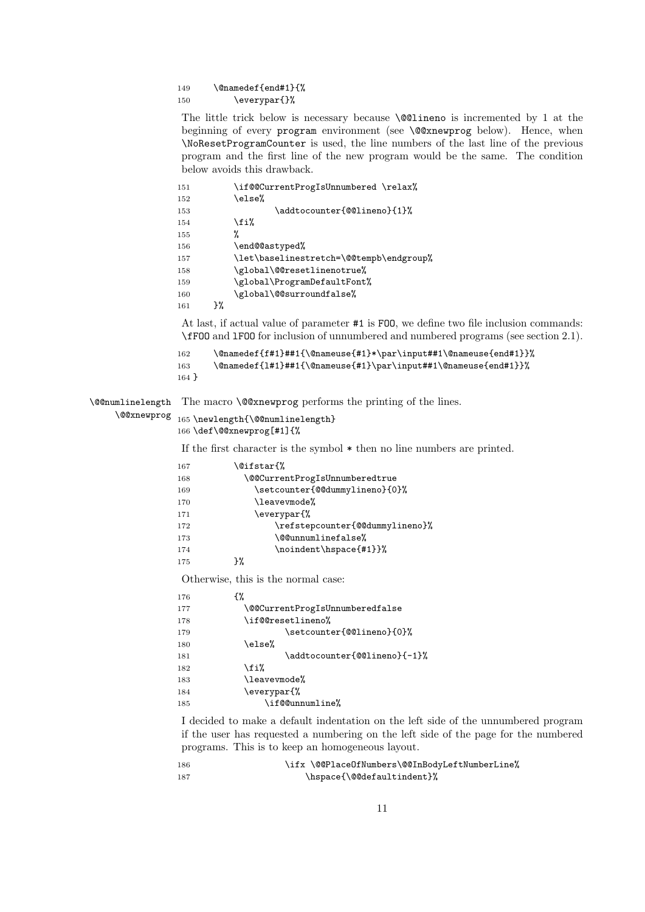#### 149 \@namedef{end#1}{% 150 \everypar{}%

The little trick below is necessary because \@@lineno is incremented by 1 at the beginning of every program environment (see \@@xnewprog below). Hence, when \NoResetProgramCounter is used, the line numbers of the last line of the previous program and the first line of the new program would be the same. The condition below avoids this drawback.

| 151 |    | \if@@CurrentProgIsUnnumbered \relax%    |
|-----|----|-----------------------------------------|
| 152 |    | \else%                                  |
| 153 |    | \addtocounter{@@lineno}{1}%             |
| 154 |    | \fi%                                    |
| 155 |    | %                                       |
| 156 |    | \end@@astyped%                          |
| 157 |    | \let\baselinestretch=\@@tempb\endgroup% |
| 158 |    | \global\@@resetlinenotrue%              |
| 159 |    | \global\ProgramDefaultFont%             |
| 160 |    | \global\@@surroundfalse%                |
| 161 | }‰ |                                         |

At last, if actual value of parameter #1 is FOO, we define two file inclusion commands: \fFOO and lFOO for inclusion of unnumbered and numbered programs (see section 2.1).

```
162 \@namedef{f#1}##1{\@nameuse{#1}*\par\input##1\@nameuse{end#1}}%
163 \@namedef{l#1}##1{\@nameuse{#1}\par\input##1\@nameuse{end#1}}%
164 }
```
\@@numlinelength

The macro **\@@xnewprog** performs the printing of the lines.

```
\@@xnewprog
165 \newlength{\@@numlinelength}
            166 \def\@@xnewprog[#1]{%
```
If the first character is the symbol \* then no line numbers are printed.

| 167 | \@ifstar{%                      |
|-----|---------------------------------|
| 168 | \@@CurrentProgIsUnnumberedtrue  |
| 169 | \setcounter{@@dummylineno}{0}%  |
| 170 | \leavevmode%                    |
| 171 | \everypar{%                     |
| 172 | \refstepcounter{@@dummylineno}% |
| 173 | \@@unnumlinefalse%              |
| 174 | \noindent\hspace{#1}}%          |
| 175 | ን%                              |

Otherwise, this is the normal case:

| 176 | ብ"                              |
|-----|---------------------------------|
| 177 | \@@CurrentProgIsUnnumberedfalse |
| 178 | \if@@resetlineno%               |
| 179 | \setcounter{@@lineno}{0}%       |
| 180 | \else%                          |
| 181 | \addtocounter{@@lineno}{-1}%    |
| 182 | \fi%                            |
| 183 | \leavevmode%                    |
| 184 | \everypar{%                     |
| 185 | \if@@unnumline%                 |

I decided to make a default indentation on the left side of the unnumbered program if the user has requested a numbering on the left side of the page for the numbered programs. This is to keep an homogeneous layout.

| - 186 | \ifx \@@PlaceOfNumbers\@@InBodyLeftNumberLine% |
|-------|------------------------------------------------|
| - 187 | \hspace{\@@defaultindent}%                     |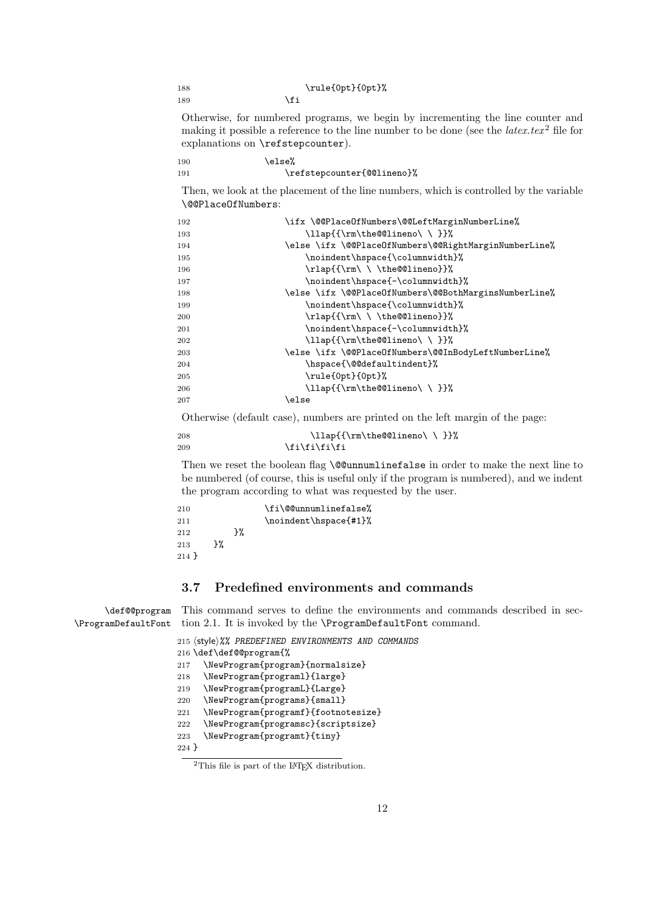| 188 | \rule{0pt}{0pt}% |
|-----|------------------|
| 189 | \fi              |

Otherwise, for numbered programs, we begin by incrementing the line counter and making it possible a reference to the line number to be done (see the  $\text{l} \textit{at} \textit{ex}. \textit{text}^2$  file for explanations on \refstepcounter).

190 \else% 191 \refstepcounter{@@lineno}%

Then, we look at the placement of the line numbers, which is controlled by the variable \@@PlaceOfNumbers:

| 192 | \ifx \@@PlaceOfNumbers\@@LeftMarginNumberLine%        |
|-----|-------------------------------------------------------|
| 193 | \llap{{\rm\the@@lineno\\}}%                           |
| 194 | \else \ifx \@@PlaceOfNumbers\@@RightMarginNumberLine% |
| 195 | \noindent\hspace{\columnwidth}%                       |
| 196 | \rlap{{\rm\ \ \the@@lineno}}%                         |
| 197 | \noindent\hspace{-\columnwidth}%                      |
| 198 | \else \ifx \@@PlaceOfNumbers\@@BothMarginsNumberLine% |
| 199 | \noindent\hspace{\columnwidth}%                       |
| 200 | $\rho({\rm \ } \the@Qlineno}}$                        |
| 201 | \noindent\hspace{-\columnwidth}%                      |
| 202 | \llap{{\rm\the@@lineno\\}}%                           |
| 203 | \else \ifx \@@PlaceOfNumbers\@@InBodyLeftNumberLine%  |
| 204 | \hspace{\@@defaultindent}%                            |
| 205 | \rule{0pt}{0pt}%                                      |
| 206 | \llap{{\rm\the@@lineno\\}}%                           |
| 207 | \else                                                 |
|     |                                                       |

Otherwise (default case), numbers are printed on the left margin of the page:

```
208 \lceil{\rm\the@Qlineno}\rceil209 \if{ifififififif}
```
Then we reset the boolean flag **\@@unnumlinefalse** in order to make the next line to be numbered (of course, this is useful only if the program is numbered), and we indent the program according to what was requested by the user.

| 210     |    |    | \fi\@@unnumlinefalse% |
|---------|----|----|-----------------------|
| 211     |    |    | \noindent\hspace{#1}% |
| 212     |    | ጉ% |                       |
| 213     | ን% |    |                       |
| $214$ } |    |    |                       |

# **3.7 Predefined environments and commands**

\def@@program This command serves to define the environments and commands described in sec-\ProgramDefaultFont tion 2.1. It is invoked by the \ProgramDefaultFont command.

```
215 (style)%% PREDEFINED ENVIRONMENTS AND COMMANDS
216 \def\def@@program{%
217 \NewProgram{program}{normalsize}
218 \NewProgram{programl}{large}
219 \NewProgram{programL}{Large}
220 \NewProgram{programs}{small}
221 \NewProgram{programf}{footnotesize}
222 \NewProgram{programsc}{scriptsize}
223 \NewProgram{programt}{tiny}
224 }
```
 ${}^{2}$ This file is part of the LAT<sub>EX</sub> distribution.